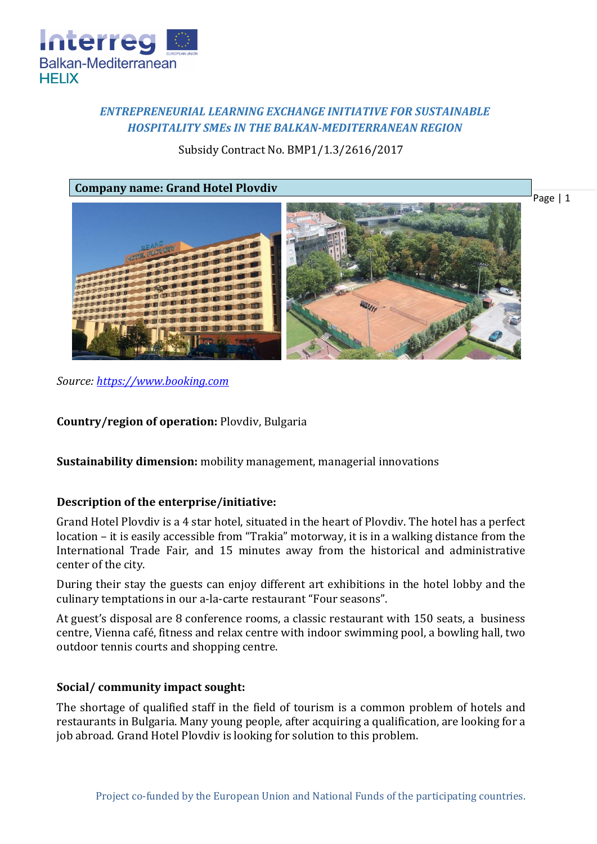

# *ENTREPRENEURIAL LEARNING EXCHANGE INITIATIVE FOR SUSTAINABLE HOSPITALITY SMEs IN THE BALKAN-MEDITERRANEAN REGION*

Subsidy Contract No. BMP1/1.3/2616/2017

**Company name: Grand Hotel Plovdiv**



*Source: [https://www.booking.com](https://www.booking.com/hotel/bg/novotel-plovdiv.bg.html)*

**Country/region of operation:** Plovdiv, Bulgaria

**Sustainability dimension:** mobility management, managerial innovations

# **Description of the enterprise/initiative:**

Grand Hotel Plovdiv is a 4 star hotel, situated in the heart of Plovdiv. The hotel has a perfect location – it is easily accessible from "Trakia" motorway, it is in a walking distance from the International Trade Fair, and 15 minutes away from the historical and administrative center of the city.

During their stay the guests can enjoy different art exhibitions in the hotel lobby and the culinary temptations in our a-la-carte restaurant "Four seasons".

At guest's disposal are 8 conference rooms, a classic restaurant with 150 seats, a business centre, Vienna café, fitness and relax centre with indoor swimming pool, a bowling hall, two outdoor tennis courts and shopping centre.

# **Social/ community impact sought:**

The shortage of qualified staff in the field of tourism is a common problem of hotels and restaurants in Bulgaria. Many young people, after acquiring a qualification, are looking for a job abroad. Grand Hotel Plovdiv is looking for solution to this problem.